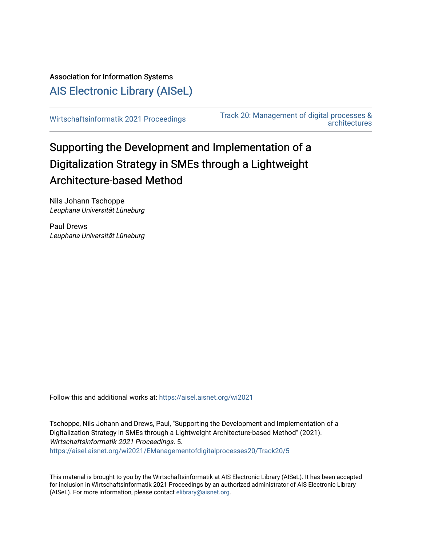Association for Information Systems [AIS Electronic Library \(AISeL\)](https://aisel.aisnet.org/)

[Wirtschaftsinformatik 2021 Proceedings](https://aisel.aisnet.org/wi2021) [Track 20: Management of digital processes &](https://aisel.aisnet.org/wi2021/EManagementofdigitalprocesses20)  [architectures](https://aisel.aisnet.org/wi2021/EManagementofdigitalprocesses20) 

# Supporting the Development and Implementation of a Digitalization Strategy in SMEs through a Lightweight Architecture-based Method

Nils Johann Tschoppe Leuphana Universität Lüneburg

Paul Drews Leuphana Universität Lüneburg

Follow this and additional works at: [https://aisel.aisnet.org/wi2021](https://aisel.aisnet.org/wi2021?utm_source=aisel.aisnet.org%2Fwi2021%2FEManagementofdigitalprocesses20%2FTrack20%2F5&utm_medium=PDF&utm_campaign=PDFCoverPages) 

Tschoppe, Nils Johann and Drews, Paul, "Supporting the Development and Implementation of a Digitalization Strategy in SMEs through a Lightweight Architecture-based Method" (2021). Wirtschaftsinformatik 2021 Proceedings. 5. [https://aisel.aisnet.org/wi2021/EManagementofdigitalprocesses20/Track20/5](https://aisel.aisnet.org/wi2021/EManagementofdigitalprocesses20/Track20/5?utm_source=aisel.aisnet.org%2Fwi2021%2FEManagementofdigitalprocesses20%2FTrack20%2F5&utm_medium=PDF&utm_campaign=PDFCoverPages)

This material is brought to you by the Wirtschaftsinformatik at AIS Electronic Library (AISeL). It has been accepted for inclusion in Wirtschaftsinformatik 2021 Proceedings by an authorized administrator of AIS Electronic Library (AISeL). For more information, please contact [elibrary@aisnet.org](mailto:elibrary@aisnet.org%3E).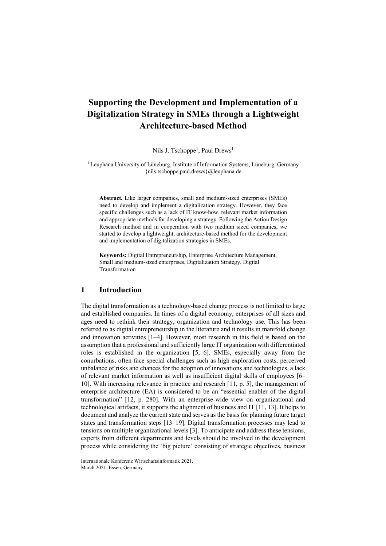## **Supporting the Development and Implementation of a Digitalization Strategy in SMEs through a Lightweight Architecture-based Method**

Nils J. Tschoppe<sup>1</sup>, Paul Drews<sup>1</sup>

<sup>1</sup> Leuphana University of Lüneburg, Institute of Information Systems, Lüneburg, Germany {nils.tschoppe,paul.drews}@leuphana.de

**Abstract.** [Like larger companies, smal](mailto:nils.tschoppe,paul.drews@leuphana.de)l and medium-sized enterprises (SMEs) need to develop and implement a digitalization strategy. However, they face specific challenges such as a lack of IT know-how, relevant market information and appropriate methods for developing a strategy. Following the Action Design Research method and in cooperation with two medium sized companies, we started to develop a lightweight, architecture-based method for the development and implementation of digitalization strategies in SMEs.

**Keywords:** Digital Entrepreneurship, Enterprise Architecture Management, Small and medium-sized enterprises, Digitalization Strategy, Digital Transformation

#### **1 Introduction**

The digital transformation as a technology-based change process is not limited to large and established companies. In times of a digital economy, enterprises of all sizes and ages need to rethink their strategy, organization and technology use. This has been referred to as digital entrepreneurship in the literature and it results in manifold change and innovation activities [1–4]. However, most research in this field is based on the assumption that a professional and sufficiently large IT organization with differentiated roles is established in the organization [5, 6]. SMEs, especially away from the conurbations, often face special challenges such as high exploration costs, perceived unbalance of risks and chances for the adoption of innovations and technologies, a lack of relevant market information as well as insufficient digital skills of employees [6– 10]. With increasing relevance in practice and research [11, p. 5], the management of enterprise architecture (EA) is considered to be an "essential enabler of the digital transformation" [12, p. 280]. With an enterprise-wide view on organizational and technological artifacts, it supports the alignment of business and IT [11, 13]. It helps to document and analyze the current state and serves as the basis for planning future target states and transformation steps [13–19]. Digital transformation processes may lead to tensions on multiple organizational levels [3]. To anticipate and address these tensions, experts from different departments and levels should be involved in the development process while considering the 'big picture' consisting of strategic objectives, business

Internationale Konferenz Wirtschaftsinformatik 2021, March 2021, Essen, Germany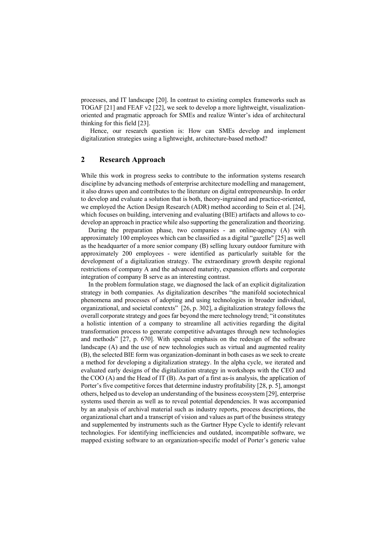processes, and IT landscape [20]. In contrast to existing complex frameworks such as TOGAF [21] and FEAF v2 [22], we seek to develop a more lightweight, visualizationoriented and pragmatic approach for SMEs and realize Winter's idea of architectural thinking for this field [23].

Hence, our research question is: How can SMEs develop and implement digitalization strategies using a lightweight, architecture-based method?

### **2 Research Approach**

While this work in progress seeks to contribute to the information systems research discipline by advancing methods of enterprise architecture modelling and management, it also draws upon and contributes to the literature on digital entrepreneurship. In order to develop and evaluate a solution that is both, theory-ingrained and practice-oriented, we employed the Action Design Research (ADR) method according to Sein et al. [24], which focuses on building, intervening and evaluating (BIE) artifacts and allows to codevelop an approach in practice while also supporting the generalization and theorizing.

During the preparation phase, two companies - an online-agency (A) with approximately 100 employees which can be classified as a digital "gazelle" [25] as well as the headquarter of a more senior company (B) selling luxury outdoor furniture with approximately 200 employees - were identified as particularly suitable for the development of a digitalization strategy. The extraordinary growth despite regional restrictions of company A and the advanced maturity, expansion efforts and corporate integration of company B serve as an interesting contrast.

In the problem formulation stage, we diagnosed the lack of an explicit digitalization strategy in both companies. As digitalization describes "the manifold sociotechnical phenomena and processes of adopting and using technologies in broader individual, organizational, and societal contexts" [26, p. 302], a digitalization strategy follows the overall corporate strategy and goes far beyond the mere technology trend; "it constitutes a holistic intention of a company to streamline all activities regarding the digital transformation process to generate competitive advantages through new technologies and methods" [27, p. 670]. With special emphasis on the redesign of the software landscape (A) and the use of new technologies such as virtual and augmented reality (B), the selected BIE form was organization-dominant in both cases as we seek to create a method for developing a digitalization strategy. In the alpha cycle, we iterated and evaluated early designs of the digitalization strategy in workshops with the CEO and the COO (A) and the Head of IT (B). As part of a first as-is analysis, the application of Porter's five competitive forces that determine industry profitability [28, p. 5], amongst others, helped us to develop an understanding of the business ecosystem [29], enterprise systems used therein as well as to reveal potential dependencies. It was accompanied by an analysis of archival material such as industry reports, process descriptions, the organizational chart and a transcript of vision and values as part of the business strategy and supplemented by instruments such as the Gartner Hype Cycle to identify relevant technologies. For identifying inefficiencies and outdated, incompatible software, we mapped existing software to an organization-specific model of Porter's generic value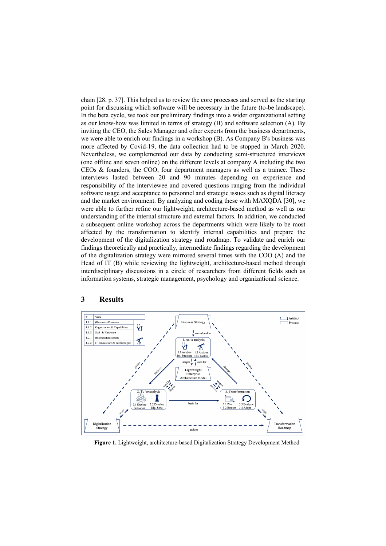chain [28, p. 37]. This helped us to review the core processes and served as the starting point for discussing which software will be necessary in the future (to-be landscape). In the beta cycle, we took our preliminary findings into a wider organizational setting as our know-how was limited in terms of strategy (B) and software selection (A). By inviting the CEO, the Sales Manager and other experts from the business departments, we were able to enrich our findings in a workshop (B). As Company B's business was more affected by Covid-19, the data collection had to be stopped in March 2020. Nevertheless, we complemented our data by conducting semi-structured interviews (one offline and seven online) on the different levels at company A including the two CEOs & founders, the COO, four department managers as well as a trainee. These interviews lasted between 20 and 90 minutes depending on experience and responsibility of the interviewee and covered questions ranging from the individual software usage and acceptance to personnel and strategic issues such as digital literacy and the market environment. By analyzing and coding these with MAXQDA [30], we were able to further refine our lightweight, architecture-based method as well as our understanding of the internal structure and external factors. In addition, we conducted a subsequent online workshop across the departments which were likely to be most affected by the transformation to identify internal capabilities and prepare the development of the digitalization strategy and roadmap. To validate and enrich our findings theoretically and practically, intermediate findings regarding the development of the digitalization strategy were mirrored several times with the COO (A) and the Head of IT (B) while reviewing the lightweight, architecture-based method through interdisciplinary discussions in a circle of researchers from different fields such as information systems, strategic management, psychology and organizational science.



#### **3 Results**

**Figure 1.** Lightweight, architecture-based Digitalization Strategy Development Method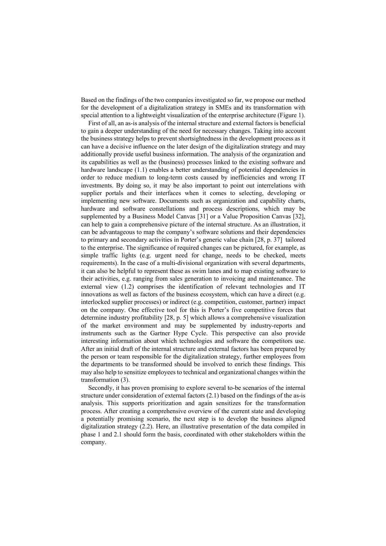Based on the findings of the two companies investigated so far, we propose our method for the development of a digitalization strategy in SMEs and its transformation with special attention to a lightweight visualization of the enterprise architecture (Figure 1).

First of all, an as-is analysis of the internal structure and external factors is beneficial to gain a deeper understanding of the need for necessary changes. Taking into account the business strategy helps to prevent shortsightedness in the development process as it can have a decisive influence on the later design of the digitalization strategy and may additionally provide useful business information. The analysis of the organization and its capabilities as well as the (business) processes linked to the existing software and hardware landscape (1.1) enables a better understanding of potential dependencies in order to reduce medium to long-term costs caused by inefficiencies and wrong IT investments. By doing so, it may be also important to point out interrelations with supplier portals and their interfaces when it comes to selecting, developing or implementing new software. Documents such as organization and capability charts, hardware and software constellations and process descriptions, which may be supplemented by a Business Model Canvas [31] or a Value Proposition Canvas [32], can help to gain a comprehensive picture of the internal structure. As an illustration, it can be advantageous to map the company's software solutions and their dependencies to primary and secondary activities in Porter's generic value chain [28, p. 37] tailored to the enterprise. The significance of required changes can be pictured, for example, as simple traffic lights (e.g. urgent need for change, needs to be checked, meets requirements). In the case of a multi-divisional organization with several departments, it can also be helpful to represent these as swim lanes and to map existing software to their activities, e.g. ranging from sales generation to invoicing and maintenance. The external view (1.2) comprises the identification of relevant technologies and IT innovations as well as factors of the business ecosystem, which can have a direct (e.g. interlocked supplier processes) or indirect (e.g. competition, customer, partner) impact on the company. One effective tool for this is Porter's five competitive forces that determine industry profitability [28, p. 5] which allows a comprehensive visualization of the market environment and may be supplemented by industry-reports and instruments such as the Gartner Hype Cycle. This perspective can also provide interesting information about which technologies and software the competitors use. After an initial draft of the internal structure and external factors has been prepared by the person or team responsible for the digitalization strategy, further employees from the departments to be transformed should be involved to enrich these findings. This may also help to sensitize employees to technical and organizational changes within the transformation (3).

Secondly, it has proven promising to explore several to-be scenarios of the internal structure under consideration of external factors (2.1) based on the findings of the as-is analysis. This supports prioritization and again sensitizes for the transformation process. After creating a comprehensive overview of the current state and developing a potentially promising scenario, the next step is to develop the business aligned digitalization strategy (2.2). Here, an illustrative presentation of the data compiled in phase 1 and 2.1 should form the basis, coordinated with other stakeholders within the company.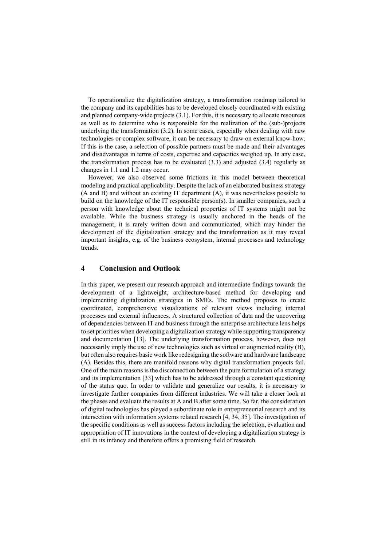To operationalize the digitalization strategy, a transformation roadmap tailored to the company and its capabilities has to be developed closely coordinated with existing and planned company-wide projects (3.1). For this, it is necessary to allocate resources as well as to determine who is responsible for the realization of the (sub-)projects underlying the transformation (3.2). In some cases, especially when dealing with new technologies or complex software, it can be necessary to draw on external know-how. If this is the case, a selection of possible partners must be made and their advantages and disadvantages in terms of costs, expertise and capacities weighed up. In any case, the transformation process has to be evaluated (3.3) and adjusted (3.4) regularly as changes in 1.1 and 1.2 may occur.

However, we also observed some frictions in this model between theoretical modeling and practical applicability. Despite the lack of an elaborated business strategy (A and B) and without an existing IT department (A), it was nevertheless possible to build on the knowledge of the IT responsible person(s). In smaller companies, such a person with knowledge about the technical properties of IT systems might not be available. While the business strategy is usually anchored in the heads of the management, it is rarely written down and communicated, which may hinder the development of the digitalization strategy and the transformation as it may reveal important insights, e.g. of the business ecosystem, internal processes and technology trends.

#### **4 Conclusion and Outlook**

In this paper, we present our research approach and intermediate findings towards the development of a lightweight, architecture-based method for developing and implementing digitalization strategies in SMEs. The method proposes to create coordinated, comprehensive visualizations of relevant views including internal processes and external influences. A structured collection of data and the uncovering of dependencies between IT and business through the enterprise architecture lens helps to set priorities when developing a digitalization strategy while supporting transparency and documentation [13]. The underlying transformation process, however, does not necessarily imply the use of new technologies such as virtual or augmented reality (B), but often also requires basic work like redesigning the software and hardware landscape (A). Besides this, there are manifold reasons why digital transformation projects fail. One of the main reasons is the disconnection between the pure formulation of a strategy and its implementation [33] which has to be addressed through a constant questioning of the status quo. In order to validate and generalize our results, it is necessary to investigate further companies from different industries. We will take a closer look at the phases and evaluate the results at A and B after some time. So far, the consideration of digital technologies has played a subordinate role in entrepreneurial research and its intersection with information systems related research [4, 34, 35]. The investigation of the specific conditions as well as success factors including the selection, evaluation and appropriation of IT innovations in the context of developing a digitalization strategy is still in its infancy and therefore offers a promising field of research.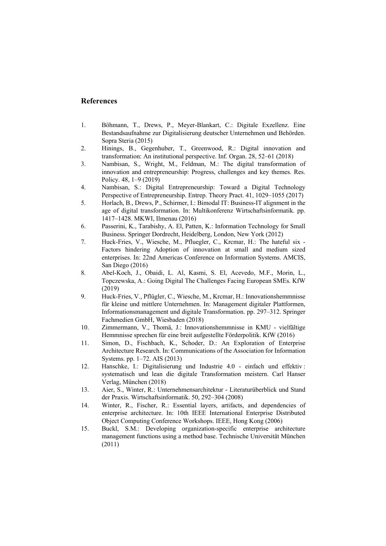#### **References**

- 1. Böhmann, T., Drews, P., Meyer-Blankart, C.: Digitale Exzellenz. Eine Bestandsaufnahme zur Digitalisierung deutscher Unternehmen und Behörden. Sopra Steria (2015)
- 2. Hinings, B., Gegenhuber, T., Greenwood, R.: Digital innovation and transformation: An institutional perspective. Inf. Organ. 28, 52–61 (2018)
- 3. Nambisan, S., Wright, M., Feldman, M.: The digital transformation of innovation and entrepreneurship: Progress, challenges and key themes. Res. Policy. 48, 1–9 (2019)
- 4. Nambisan, S.: Digital Entrepreneurship: Toward a Digital Technology Perspective of Entrepreneurship. Entrep. Theory Pract. 41, 1029–1055 (2017)
- 5. Horlach, B., Drews, P., Schirmer, I.: Bimodal IT: Business-IT alignment in the age of digital transformation. In: Multikonferenz Wirtschaftsinformatik. pp. 1417–1428. MKWI, Ilmenau (2016)
- 6. Passerini, K., Tarabishy, A. El, Patten, K.: Information Technology for Small Business. Springer Dordrecht, Heidelberg, London, New York (2012)
- 7. Huck-Fries, V., Wiesche, M., Pfluegler, C., Krcmar, H.: The hateful six Factors hindering Adoption of innovation at small and medium sized enterprises. In: 22nd Americas Conference on Information Systems. AMCIS, San Diego (2016)
- 8. Abel-Koch, J., Obaidi, L. Al, Kasmi, S. El, Acevedo, M.F., Morin, L., Topczewska, A.: Going Digital The Challenges Facing European SMEs. KfW (2019)
- 9. Huck-Fries, V., Pflügler, C., Wiesche, M., Krcmar, H.: Innovationshemmnisse für kleine und mittlere Unternehmen. In: Management digitaler Plattformen, Informationsmanagement und digitale Transformation. pp. 297–312. Springer Fachmedien GmbH, Wiesbaden (2018)
- 10. Zimmermann, V., Thomä, J.: Innovationshemmnisse in KMU vielfältige Hemmnisse sprechen für eine breit aufgestellte Förderpolitik. KfW (2016)
- 11. Simon, D., Fischbach, K., Schoder, D.: An Exploration of Enterprise Architecture Research. In: Communications of the Association for Information Systems. pp. 1–72. AIS (2013)
- 12. Hanschke, I.: Digitalisierung und Industrie 4.0 einfach und effektiv : systematisch und lean die digitale Transformation meistern. Carl Hanser Verlag, München (2018)
- 13. Aier, S., Winter, R.: Unternehmensarchitektur Literaturüberblick und Stand der Praxis. Wirtschaftsinformatik. 50, 292–304 (2008)
- 14. Winter, R., Fischer, R.: Essential layers, artifacts, and dependencies of enterprise architecture. In: 10th IEEE International Enterprise Distributed Object Computing Conference Workshops. IEEE, Hong Kong (2006)
- 15. Buckl, S.M.: Developing organization-specific enterprise architecture management functions using a method base. Technische Universität München (2011)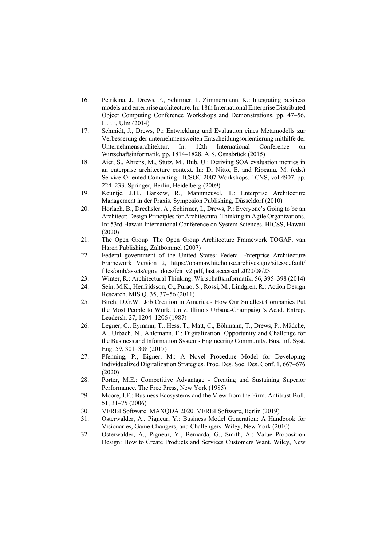- 16. Petrikina, J., Drews, P., Schirmer, I., Zimmermann, K.: Integrating business models and enterprise architecture. In: 18th International Enterprise Distributed Object Computing Conference Workshops and Demonstrations. pp. 47–56. IEEE, Ulm (2014)
- 17. Schmidt, J., Drews, P.: Entwicklung und Evaluation eines Metamodells zur Verbesserung der unternehmensweiten Entscheidungsorientierung mithilfe der Unternehmensarchitektur. In: 12th International Conference on Wirtschaftsinformatik. pp. 1814–1828. AIS, Osnabrück (2015)
- 18. Aier, S., Ahrens, M., Stutz, M., Bub, U.: Deriving SOA evaluation metrics in an enterprise architecture context. In: Di Nitto, E. and Ripeanu, M. (eds.) Service-Oriented Computing - ICSOC 2007 Workshops. LCNS, vol 4907. pp. 224–233. Springer, Berlin, Heidelberg (2009)
- 19. Keuntje, J.H., Barkow, R., Mannmeusel, T.: Enterprise Architecture Management in der Praxis. Symposion Publishing, Düsseldorf (2010)
- 20. Horlach, B., Drechsler, A., Schirmer, I., Drews, P.: Everyone's Going to be an Architect: Design Principles for Architectural Thinking in Agile Organizations. In: 53rd Hawaii International Conference on System Sciences. HICSS, Hawaii (2020)
- 21. The Open Group: The Open Group Architecture Framework TOGAF. van Haren Publishing, Zaltbommel (2007)
- 22. Federal government of the United States: Federal Enterprise Architecture Framework Version 2, https://obamawhitehouse.archives.gov/sites/default/ files/omb/assets/egov\_docs/fea\_v2.pdf, last accessed 2020/08/23
- 23. Winter, R.: Architectural Thinking. Wirtschaftsinformatik. 56, 395–398 (2014)
- 24. Sein, M.K., Henfridsson, O., Purao, S., Rossi, M., Lindgren, R.: Action Design Research. MIS Q. 35, 37–56 (2011)
- 25. Birch, D.G.W.: Job Creation in America How Our Smallest Companies Put the Most People to Work. Univ. Illinois Urbana-Champaign's Acad. Entrep. Leadersh. 27, 1204–1206 (1987)
- 26. Legner, C., Eymann, T., Hess, T., Matt, C., Böhmann, T., Drews, P., Mädche, A., Urbach, N., Ahlemann, F.: Digitalization: Opportunity and Challenge for the Business and Information Systems Engineering Community. Bus. Inf. Syst. Eng. 59, 301–308 (2017)
- 27. Pfenning, P., Eigner, M.: A Novel Procedure Model for Developing Individualized Digitalization Strategies. Proc. Des. Soc. Des. Conf. 1, 667–676 (2020)
- 28. Porter, M.E.: Competitive Advantage Creating and Sustaining Superior Performance. The Free Press, New York (1985)
- 29. Moore, J.F.: Business Ecosystems and the View from the Firm. Antitrust Bull. 51, 31–75 (2006)
- 30. VERBI Software: MAXQDA 2020. VERBI Software, Berlin (2019)
- 31. Osterwalder, A., Pigneur, Y.: Business Model Generation: A Handbook for Visionaries, Game Changers, and Challengers. Wiley, New York (2010)
- 32. Osterwalder, A., Pigneur, Y., Bernarda, G., Smith, A.: Value Proposition Design: How to Create Products and Services Customers Want. Wiley, New